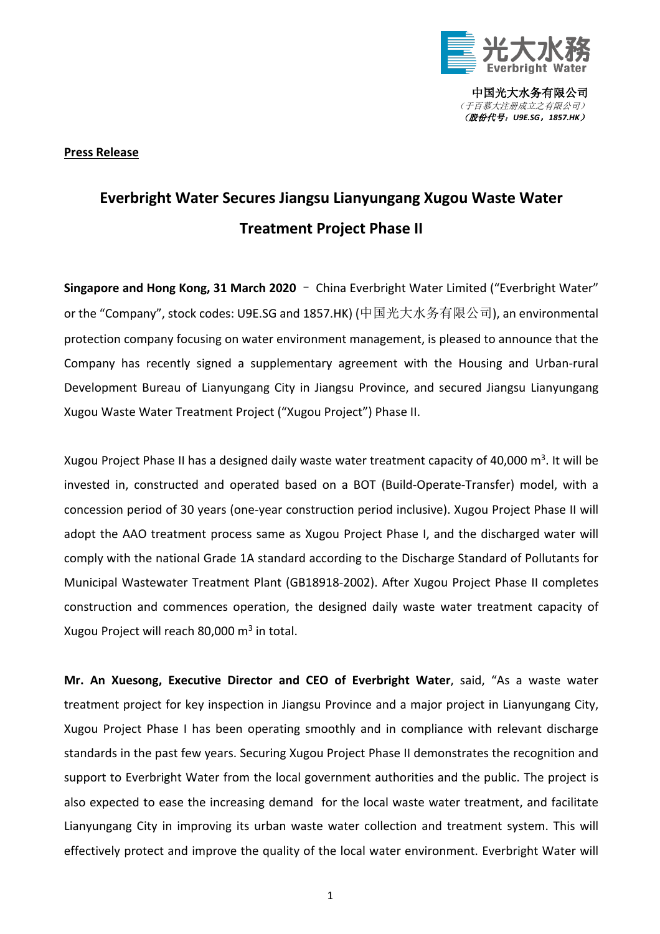

中国光大水务有限公司 (于百慕大注册成立之有限公司) (股份代号:*U9E.SG*,*1857.HK*)

## **Press Release**

## **Everbright Water Secures Jiangsu Lianyungang Xugou Waste Water Treatment Project Phase II**

**Singapore and Hong Kong, 31 March 2020** – China Everbright Water Limited ("Everbright Water" or the "Company", stock codes: U9E.SG and 1857.HK) (中国光大水务有限公司), an environmental protection company focusing on water environment management, is pleased to announce that the Company has recently signed a supplementary agreement with the Housing and Urban-rural Development Bureau of Lianyungang City in Jiangsu Province, and secured Jiangsu Lianyungang Xugou Waste Water Treatment Project ("Xugou Project") Phase II.

Xugou Project Phase II has a designed daily waste water treatment capacity of 40,000 m<sup>3</sup>. It will be invested in, constructed and operated based on a BOT (Build-Operate-Transfer) model, with a concession period of 30 years (one-year construction period inclusive). Xugou Project Phase II will adopt the AAO treatment process same as Xugou Project Phase I, and the discharged water will comply with the national Grade 1A standard according to the Discharge Standard of Pollutants for Municipal Wastewater Treatment Plant (GB18918-2002). After Xugou Project Phase II completes construction and commences operation, the designed daily waste water treatment capacity of Xugou Project will reach 80,000  $m^3$  in total.

**Mr. An Xuesong, Executive Director and CEO of Everbright Water**, said, "As a waste water treatment project for key inspection in Jiangsu Province and a major project in Lianyungang City, Xugou Project Phase I has been operating smoothly and in compliance with relevant discharge standards in the past few years. Securing Xugou Project Phase II demonstrates the recognition and support to Everbright Water from the local government authorities and the public. The project is also expected to ease the increasing demand for the local waste water treatment, and facilitate Lianyungang City in improving its urban waste water collection and treatment system. This will effectively protect and improve the quality of the local water environment. Everbright Water will